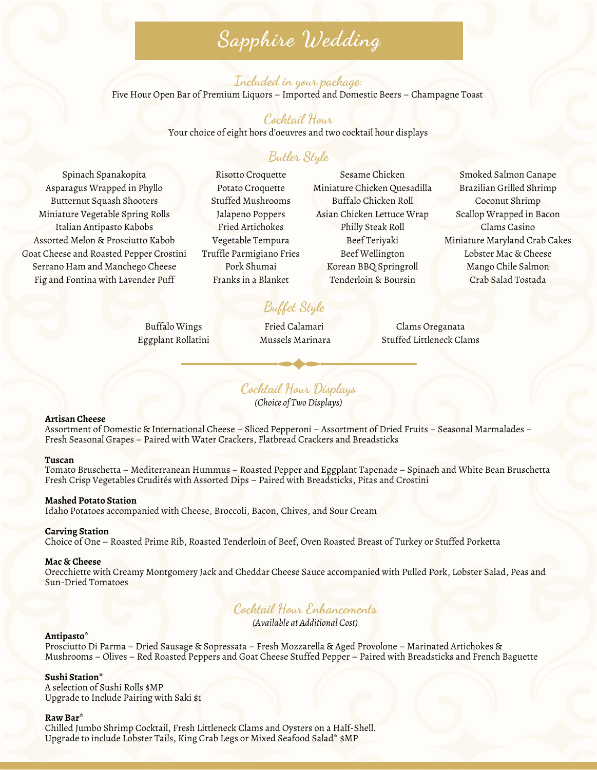# **Sapphire Wedding**

#### **Included in your package:** Five Hour Open Bar of Premium Liquors – Imported and Domestic Beers – Champagne Toast

### **Cocktail Hour**

Your choice of eight hors d'oeuvres and two cocktail hour displays

# **Butler Style**

Spinach Spanakopita Asparagus Wrapped in Phyllo Butternut Squash Shooters Miniature Vegetable Spring Rolls Italian Antipasto Kabobs Assorted Melon & Prosciutto Kabob Goat Cheese and Roasted Pepper Crostini Serrano Ham and Manchego Cheese Fig and Fontina with Lavender Puff

Risotto Croquette Potato Croquette Stuffed Mushrooms Jalapeno Poppers Fried Artichokes Vegetable Tempura Truffle Parmigiano Fries Pork Shumai Franks in a Blanket

Sesame Chicken Miniature Chicken Quesadilla Buffalo Chicken Roll Asian Chicken Lettuce Wrap Philly Steak Roll Beef Teriyaki Beef Wellington Korean BBQ Springroll Tenderloin & Boursin

Smoked Salmon Canape Brazilian Grilled Shrimp Coconut Shrimp Scallop Wrapped in Bacon Clams Casino Miniature Maryland Crab Cakes Lobster Mac & Cheese Mango Chile Salmon Crab Salad Tostada

# **Buffet Style**

Buffalo Wings Eggplant Rollatini

Fried Calamari Mussels Marinara

Clams Oreganata Stuffed Littleneck Clams

**Cocktail Hour Displays**

*(Choice of Two Displays)*

#### **Artisan Cheese**

Assortment of Domestic & International Cheese – Sliced Pepperoni – Assortment of Dried Fruits – Seasonal Marmalades – Fresh Seasonal Grapes – Paired with Water Crackers, Flatbread Crackers and Breadsticks

#### **Tuscan**

Tomato Bruschetta – Mediterranean Hummus – Roasted Pepper and Eggplant Tapenade – Spinach and White Bean Bruschetta Fresh Crisp Vegetables Crudités with Assorted Dips – Paired with Breadsticks, Pitas and Crostini

#### **Mashed Potato Station**

Idaho Potatoes accompanied with Cheese, Broccoli, Bacon, Chives, and Sour Cream

#### **Carving Station**

Choice of One – Roasted Prime Rib, Roasted Tenderloin of Beef, Oven Roasted Breast of Turkey or Stuffed Porketta

#### **Mac & Cheese**

Orecchiette with Creamy Montgomery Jack and Cheddar Cheese Sauce accompanied with Pulled Pork, Lobster Salad, Peas and Sun-Dried Tomatoes

## **Cocktail Hour Enhancements**

*(Available at Additional Cost)*

#### **Antipasto\***

Prosciutto Di Parma – Dried Sausage & Sopressata – Fresh Mozzarella & Aged Provolone – Marinated Artichokes & Mushrooms – Olives – Red Roasted Peppers and Goat Cheese Stuffed Pepper – Paired with Breadsticks and French Baguette

#### **Sushi Station\***

A selection of Sushi Rolls \$MP Upgrade to Include Pairing with Saki \$1

#### **Raw Bar\***

Chilled Jumbo Shrimp Cocktail, Fresh Littleneck Clams and Oysters on a Half-Shell. Upgrade to include Lobster Tails, King Crab Legs or Mixed Seafood Salad\* \$MP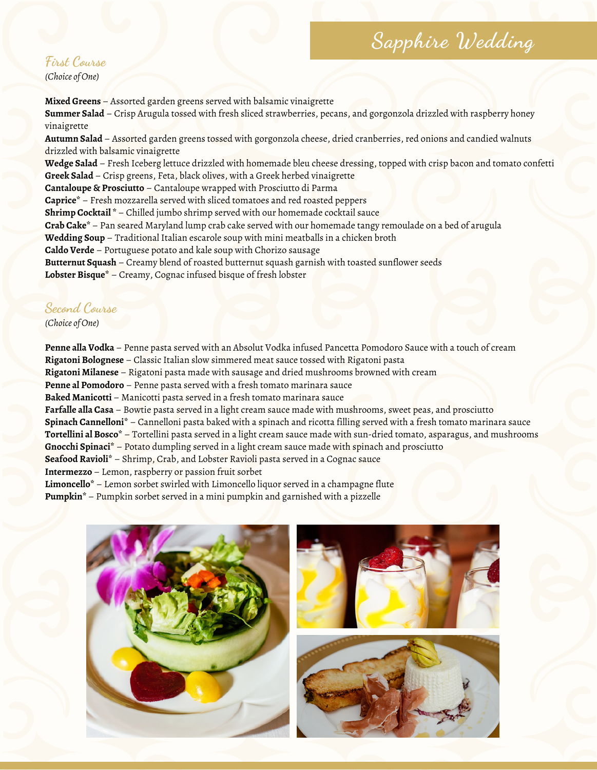# **Sapphire Wedding**

# **First Course**

*(Choice of One)*

**Mixed Greens** – Assorted garden greens served with balsamic vinaigrette

**Summer Salad** – Crisp Arugula tossed with fresh sliced strawberries, pecans, and gorgonzola drizzled with raspberry honey vinaigrette

**Autumn Salad** – Assorted garden greens tossed with gorgonzola cheese, dried cranberries, red onions and candied walnuts drizzled with balsamic vinaigrette

**Wedge Salad** – Fresh Iceberg lettuce drizzled with homemade bleu cheese dressing, topped with crisp bacon and tomato confetti **Greek Salad** – Crisp greens, Feta, black olives, with a Greek herbed vinaigrette

**Cantaloupe & Prosciutto** – Cantaloupe wrapped with Prosciutto di Parma

**Caprice\*** – Fresh mozzarella served with sliced tomatoes and red roasted peppers

**Shrimp Cocktail \*** – Chilled jumbo shrimp served with our homemade cocktail sauce

**Crab Cake\*** – Pan seared Maryland lump crab cake served with our homemade tangy remoulade on a bed of arugula

**Wedding Soup** – Traditional Italian escarole soup with mini meatballs in a chicken broth

**Caldo Verde** – Portuguese potato and kale soup with Chorizo sausage

**Butternut Squash** – Creamy blend of roasted butternut squash garnish with toasted sunflower seeds

**Lobster Bisque\*** – Creamy, Cognac infused bisque of fresh lobster

### **Second Course**

*(Choice of One)*

**Penne alla Vodka** – Penne pasta served with an Absolut Vodka infused Pancetta Pomodoro Sauce with a touch of cream **Rigatoni Bolognese** – Classic Italian slow simmered meat sauce tossed with Rigatoni pasta **Rigatoni Milanese** – Rigatoni pasta made with sausage and dried mushrooms browned with cream **Penne al Pomodoro** – Penne pasta served with a fresh tomato marinara sauce **Baked Manicotti** – Manicotti pasta served in a fresh tomato marinara sauce **Farfalle alla Casa** – Bowtie pasta served in a light cream sauce made with mushrooms, sweet peas, and prosciutto **Spinach Cannelloni\*** – Cannelloni pasta baked with a spinach and ricotta filling served with a fresh tomato marinara sauce **Tortellini al Bosco\*** – Tortellini pasta served in a light cream sauce made with sun-dried tomato, asparagus, and mushrooms **Gnocchi Spinaci\*** – Potato dumpling served in a light cream sauce made with spinach and prosciutto **Seafood Ravioli\*** – Shrimp, Crab, and Lobster Ravioli pasta served in a Cognac sauce **Intermezzo** – Lemon, raspberry or passion fruit sorbet **Limoncello\*** – Lemon sorbet swirled with Limoncello liquor served in a champagne flute **Pumpkin\*** – Pumpkin sorbet served in a mini pumpkin and garnished with a pizzelle